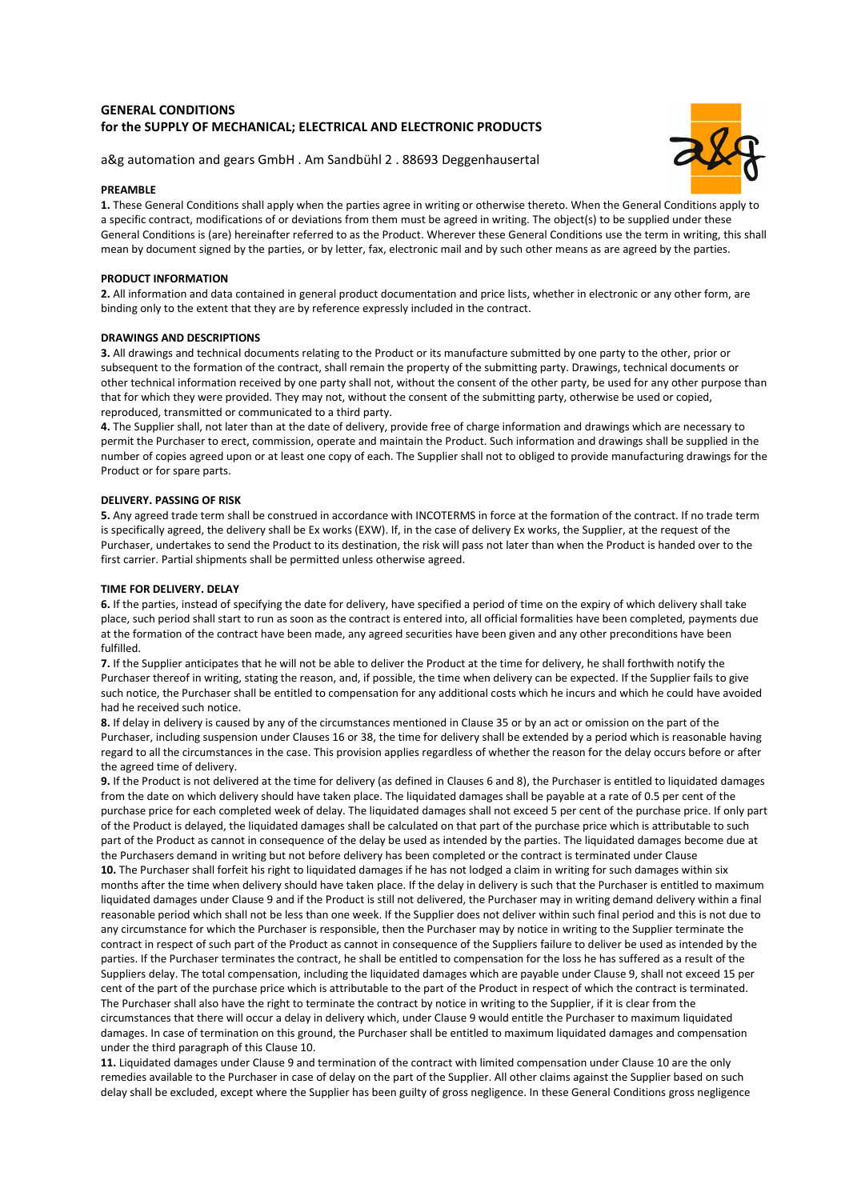# **GENERAL CONDITIONS for the SUPPLY OF MECHANICAL; ELECTRICAL AND ELECTRONIC PRODUCTS**



a&g automation and gears GmbH . Am Sandbühl 2 . 88693 Deggenhausertal

# **PREAMBLE**

**1.** These General Conditions shall apply when the parties agree in writing or otherwise thereto. When the General Conditions apply to a specific contract, modifications of or deviations from them must be agreed in writing. The object(s) to be supplied under these General Conditions is (are) hereinafter referred to as the Product. Wherever these General Conditions use the term in writing, this shall mean by document signed by the parties, or by letter, fax, electronic mail and by such other means as are agreed by the parties.

# **PRODUCT INFORMATION**

**2.** All information and data contained in general product documentation and price lists, whether in electronic or any other form, are binding only to the extent that they are by reference expressly included in the contract.

# **DRAWINGS AND DESCRIPTIONS**

**3.** All drawings and technical documents relating to the Product or its manufacture submitted by one party to the other, prior or subsequent to the formation of the contract, shall remain the property of the submitting party. Drawings, technical documents or other technical information received by one party shall not, without the consent of the other party, be used for any other purpose than that for which they were provided. They may not, without the consent of the submitting party, otherwise be used or copied, reproduced, transmitted or communicated to a third party.

**4.** The Supplier shall, not later than at the date of delivery, provide free of charge information and drawings which are necessary to permit the Purchaser to erect, commission, operate and maintain the Product. Such information and drawings shall be supplied in the number of copies agreed upon or at least one copy of each. The Supplier shall not to obliged to provide manufacturing drawings for the Product or for spare parts.

# **DELIVERY. PASSING OF RISK**

**5.** Any agreed trade term shall be construed in accordance with INCOTERMS in force at the formation of the contract. If no trade term is specifically agreed, the delivery shall be Ex works (EXW). If, in the case of delivery Ex works, the Supplier, at the request of the Purchaser, undertakes to send the Product to its destination, the risk will pass not later than when the Product is handed over to the first carrier. Partial shipments shall be permitted unless otherwise agreed.

# **TIME FOR DELIVERY. DELAY**

**6.** If the parties, instead of specifying the date for delivery, have specified a period of time on the expiry of which delivery shall take place, such period shall start to run as soon as the contract is entered into, all official formalities have been completed, payments due at the formation of the contract have been made, any agreed securities have been given and any other preconditions have been fulfilled.

**7.** If the Supplier anticipates that he will not be able to deliver the Product at the time for delivery, he shall forthwith notify the Purchaser thereof in writing, stating the reason, and, if possible, the time when delivery can be expected. If the Supplier fails to give such notice, the Purchaser shall be entitled to compensation for any additional costs which he incurs and which he could have avoided had he received such notice.

**8.** If delay in delivery is caused by any of the circumstances mentioned in Clause 35 or by an act or omission on the part of the Purchaser, including suspension under Clauses 16 or 38, the time for delivery shall be extended by a period which is reasonable having regard to all the circumstances in the case. This provision applies regardless of whether the reason for the delay occurs before or after the agreed time of delivery.

**9.** If the Product is not delivered at the time for delivery (as defined in Clauses 6 and 8), the Purchaser is entitled to liquidated damages from the date on which delivery should have taken place. The liquidated damages shall be payable at a rate of 0.5 per cent of the purchase price for each completed week of delay. The liquidated damages shall not exceed 5 per cent of the purchase price. If only part of the Product is delayed, the liquidated damages shall be calculated on that part of the purchase price which is attributable to such part of the Product as cannot in consequence of the delay be used as intended by the parties. The liquidated damages become due at the Purchasers demand in writing but not before delivery has been completed or the contract is terminated under Clause **10.** The Purchaser shall forfeit his right to liquidated damages if he has not lodged a claim in writing for such damages within six months after the time when delivery should have taken place. If the delay in delivery is such that the Purchaser is entitled to maximum liquidated damages under Clause 9 and if the Product is still not delivered, the Purchaser may in writing demand delivery within a final reasonable period which shall not be less than one week. If the Supplier does not deliver within such final period and this is not due to any circumstance for which the Purchaser is responsible, then the Purchaser may by notice in writing to the Supplier terminate the contract in respect of such part of the Product as cannot in consequence of the Suppliers failure to deliver be used as intended by the parties. If the Purchaser terminates the contract, he shall be entitled to compensation for the loss he has suffered as a result of the Suppliers delay. The total compensation, including the liquidated damages which are payable under Clause 9, shall not exceed 15 per cent of the part of the purchase price which is attributable to the part of the Product in respect of which the contract is terminated. The Purchaser shall also have the right to terminate the contract by notice in writing to the Supplier, if it is clear from the circumstances that there will occur a delay in delivery which, under Clause 9 would entitle the Purchaser to maximum liquidated damages. In case of termination on this ground, the Purchaser shall be entitled to maximum liquidated damages and compensation under the third paragraph of this Clause 10.

**11.** Liquidated damages under Clause 9 and termination of the contract with limited compensation under Clause 10 are the only remedies available to the Purchaser in case of delay on the part of the Supplier. All other claims against the Supplier based on such delay shall be excluded, except where the Supplier has been guilty of gross negligence. In these General Conditions gross negligence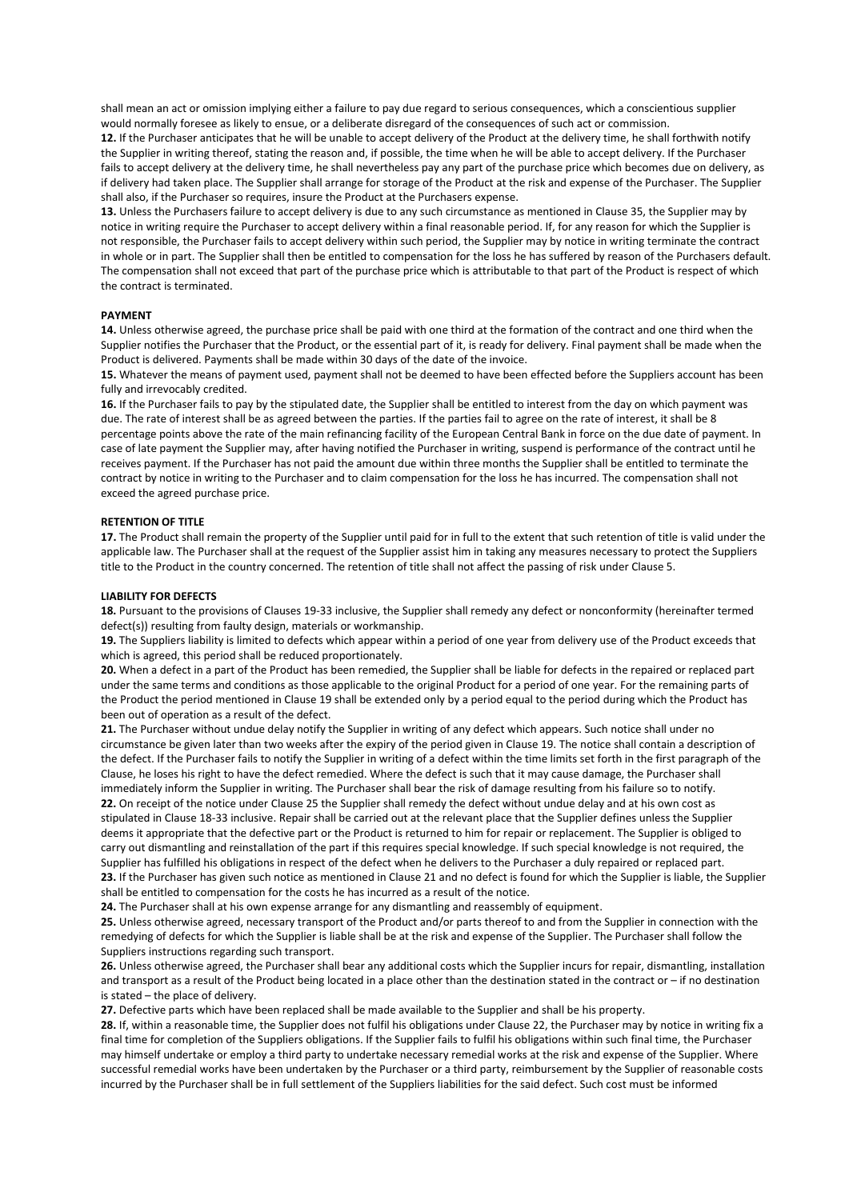shall mean an act or omission implying either a failure to pay due regard to serious consequences, which a conscientious supplier would normally foresee as likely to ensue, or a deliberate disregard of the consequences of such act or commission.

**12.** If the Purchaser anticipates that he will be unable to accept delivery of the Product at the delivery time, he shall forthwith notify the Supplier in writing thereof, stating the reason and, if possible, the time when he will be able to accept delivery. If the Purchaser fails to accept delivery at the delivery time, he shall nevertheless pay any part of the purchase price which becomes due on delivery, as if delivery had taken place. The Supplier shall arrange for storage of the Product at the risk and expense of the Purchaser. The Supplier shall also, if the Purchaser so requires, insure the Product at the Purchasers expense.

**13.** Unless the Purchasers failure to accept delivery is due to any such circumstance as mentioned in Clause 35, the Supplier may by notice in writing require the Purchaser to accept delivery within a final reasonable period. If, for any reason for which the Supplier is not responsible, the Purchaser fails to accept delivery within such period, the Supplier may by notice in writing terminate the contract in whole or in part. The Supplier shall then be entitled to compensation for the loss he has suffered by reason of the Purchasers default. The compensation shall not exceed that part of the purchase price which is attributable to that part of the Product is respect of which the contract is terminated.

#### **PAYMENT**

**14.** Unless otherwise agreed, the purchase price shall be paid with one third at the formation of the contract and one third when the Supplier notifies the Purchaser that the Product, or the essential part of it, is ready for delivery. Final payment shall be made when the Product is delivered. Payments shall be made within 30 days of the date of the invoice.

**15.** Whatever the means of payment used, payment shall not be deemed to have been effected before the Suppliers account has been fully and irrevocably credited.

**16.** If the Purchaser fails to pay by the stipulated date, the Supplier shall be entitled to interest from the day on which payment was due. The rate of interest shall be as agreed between the parties. If the parties fail to agree on the rate of interest, it shall be 8 percentage points above the rate of the main refinancing facility of the European Central Bank in force on the due date of payment. In case of late payment the Supplier may, after having notified the Purchaser in writing, suspend is performance of the contract until he receives payment. If the Purchaser has not paid the amount due within three months the Supplier shall be entitled to terminate the contract by notice in writing to the Purchaser and to claim compensation for the loss he has incurred. The compensation shall not exceed the agreed purchase price.

#### **RETENTION OF TITLE**

**17.** The Product shall remain the property of the Supplier until paid for in full to the extent that such retention of title is valid under the applicable law. The Purchaser shall at the request of the Supplier assist him in taking any measures necessary to protect the Suppliers title to the Product in the country concerned. The retention of title shall not affect the passing of risk under Clause 5.

#### **LIABILITY FOR DEFECTS**

**18.** Pursuant to the provisions of Clauses 19-33 inclusive, the Supplier shall remedy any defect or nonconformity (hereinafter termed defect(s)) resulting from faulty design, materials or workmanship.

**19.** The Suppliers liability is limited to defects which appear within a period of one year from delivery use of the Product exceeds that which is agreed, this period shall be reduced proportionately.

**20.** When a defect in a part of the Product has been remedied, the Supplier shall be liable for defects in the repaired or replaced part under the same terms and conditions as those applicable to the original Product for a period of one year. For the remaining parts of the Product the period mentioned in Clause 19 shall be extended only by a period equal to the period during which the Product has been out of operation as a result of the defect.

**21.** The Purchaser without undue delay notify the Supplier in writing of any defect which appears. Such notice shall under no circumstance be given later than two weeks after the expiry of the period given in Clause 19. The notice shall contain a description of the defect. If the Purchaser fails to notify the Supplier in writing of a defect within the time limits set forth in the first paragraph of the Clause, he loses his right to have the defect remedied. Where the defect is such that it may cause damage, the Purchaser shall immediately inform the Supplier in writing. The Purchaser shall bear the risk of damage resulting from his failure so to notify. **22.** On receipt of the notice under Clause 25 the Supplier shall remedy the defect without undue delay and at his own cost as stipulated in Clause 18-33 inclusive. Repair shall be carried out at the relevant place that the Supplier defines unless the Supplier deems it appropriate that the defective part or the Product is returned to him for repair or replacement. The Supplier is obliged to carry out dismantling and reinstallation of the part if this requires special knowledge. If such special knowledge is not required, the Supplier has fulfilled his obligations in respect of the defect when he delivers to the Purchaser a duly repaired or replaced part. 23. If the Purchaser has given such notice as mentioned in Clause 21 and no defect is found for which the Supplier is liable, the Supplier shall be entitled to compensation for the costs he has incurred as a result of the notice.

**24.** The Purchaser shall at his own expense arrange for any dismantling and reassembly of equipment.

**25.** Unless otherwise agreed, necessary transport of the Product and/or parts thereof to and from the Supplier in connection with the remedying of defects for which the Supplier is liable shall be at the risk and expense of the Supplier. The Purchaser shall follow the Suppliers instructions regarding such transport.

**26.** Unless otherwise agreed, the Purchaser shall bear any additional costs which the Supplier incurs for repair, dismantling, installation and transport as a result of the Product being located in a place other than the destination stated in the contract or – if no destination is stated – the place of delivery.

**27.** Defective parts which have been replaced shall be made available to the Supplier and shall be his property.

**28.** If, within a reasonable time, the Supplier does not fulfil his obligations under Clause 22, the Purchaser may by notice in writing fix a final time for completion of the Suppliers obligations. If the Supplier fails to fulfil his obligations within such final time, the Purchaser may himself undertake or employ a third party to undertake necessary remedial works at the risk and expense of the Supplier. Where successful remedial works have been undertaken by the Purchaser or a third party, reimbursement by the Supplier of reasonable costs incurred by the Purchaser shall be in full settlement of the Suppliers liabilities for the said defect. Such cost must be informed